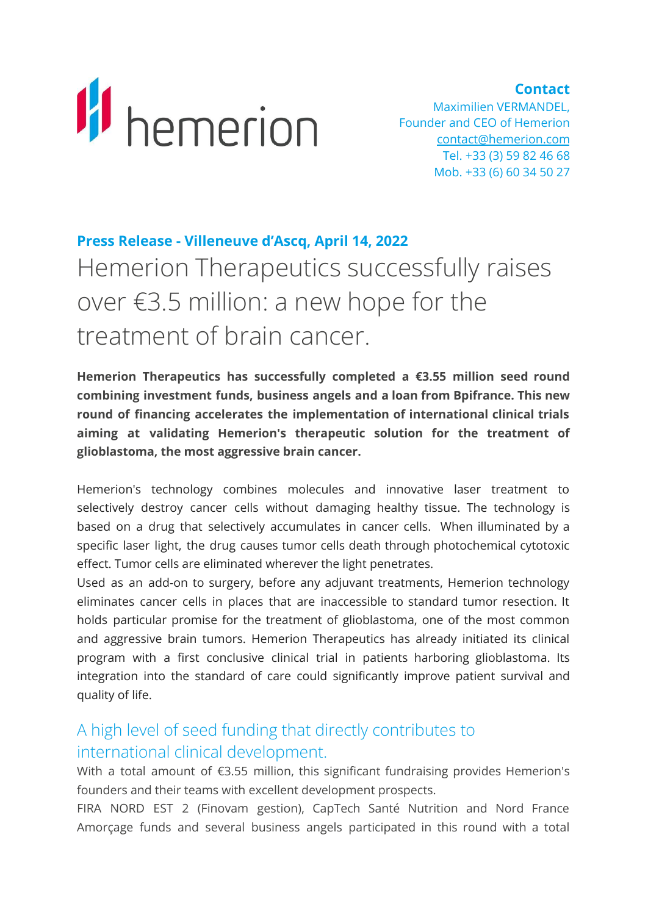

**Contact** Maximilien VERMANDEL, Founder and CEO of Hemerion contact@hemerion.com Tel. +33 (3) 59 82 46 68 Mob. +33 (6) 60 34 50 27

# **Press Release - Villeneuve d'Ascq, April 14, 2022** Hemerion Therapeutics successfully raises over €3.5 million: a new hope for the treatment of brain cancer.

**Hemerion Therapeutics has successfully completed a €3.55 million seed round combining investment funds, business angels and a loan from Bpifrance. This new round of financing accelerates the implementation of international clinical trials aiming at validating Hemerion's therapeutic solution for the treatment of glioblastoma, the most aggressive brain cancer.**

Hemerion's technology combines molecules and innovative laser treatment to selectively destroy cancer cells without damaging healthy tissue. The technology is based on a drug that selectively accumulates in cancer cells. When illuminated by a specific laser light, the drug causes tumor cells death through photochemical cytotoxic effect. Tumor cells are eliminated wherever the light penetrates.

Used as an add-on to surgery, before any adjuvant treatments, Hemerion technology eliminates cancer cells in places that are inaccessible to standard tumor resection. It holds particular promise for the treatment of glioblastoma, one of the most common and aggressive brain tumors. Hemerion Therapeutics has already initiated its clinical program with a first conclusive clinical trial in patients harboring glioblastoma. Its integration into the standard of care could significantly improve patient survival and quality of life.

# A high level of seed funding that directly contributes to international clinical development.

With a total amount of €3.55 million, this significant fundraising provides Hemerion's founders and their teams with excellent development prospects.

FIRA NORD EST 2 (Finovam gestion), CapTech Santé Nutrition and Nord France Amorçage funds and several business angels participated in this round with a total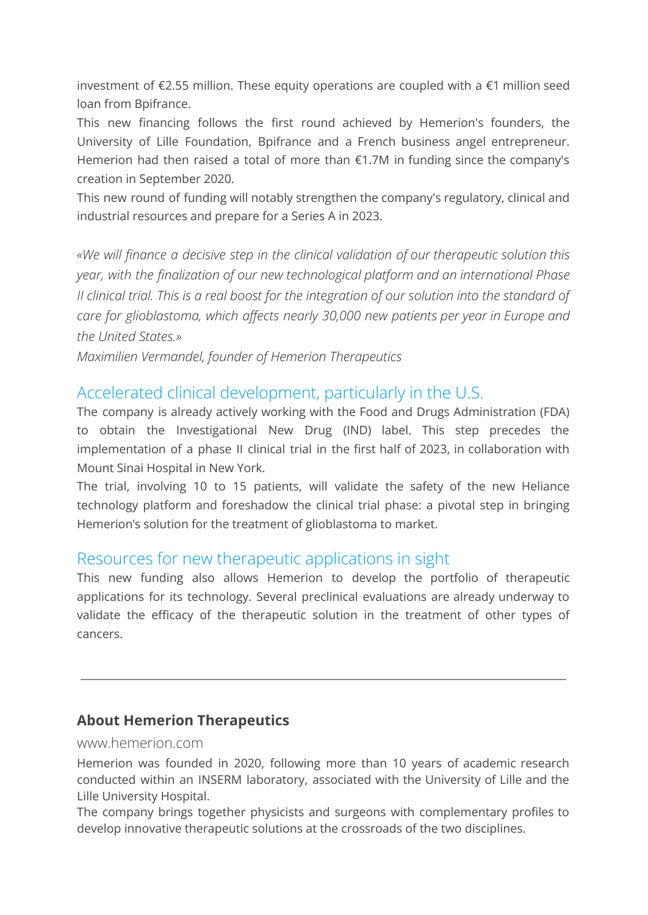investment of €2.55 million. These equity operations are coupled with a €1 million seed loan from Bpifrance.

This new financing follows the first round achieved by Hemerion's founders, the University of Lille Foundation, Bpifrance and a French business angel entrepreneur. Hemerion had then raised a total of more than €1.7M in funding since the company's creation in September 2020.

This new round of funding will notably strengthen the company's regulatory, clinical and industrial resources and prepare for a Series A in 2023.

*«We will finance a decisive step in the clinical validation of our therapeutic solution this year, with the finalization of our new technological platform and an international Phase II clinical trial. This is a real boost for the integration of our solution into the standard of care for glioblastoma, which affects nearly 30,000 new patients per year in Europe and the United States.»*

*Maximilien Vermandel, founder of Hemerion Therapeutics*

## Accelerated clinical development, particularly in the U.S.

The company is already actively working with the Food and Drugs Administration (FDA) to obtain the Investigational New Drug (IND) label. This step precedes the implementation of a phase II clinical trial in the first half of 2023, in collaboration with Mount Sinai Hospital in New York.

The trial, involving 10 to 15 patients, will validate the safety of the new Heliance technology platform and foreshadow the clinical trial phase: a pivotal step in bringing Hemerion's solution for the treatment of glioblastoma to market.

## Resources for new therapeutic applications in sight

This new funding also allows Hemerion to develop the portfolio of therapeutic applications for its technology. Several preclinical evaluations are already underway to validate the efficacy of the therapeutic solution in the treatment of other types of cancers.

## **About Hemerion Therapeutics**

#### www.hemerion.com

Hemerion was founded in 2020, following more than 10 years of academic research conducted within an INSERM laboratory, associated with the University of Lille and the Lille University Hospital.

The company brings together physicists and surgeons with complementary profiles to develop innovative therapeutic solutions at the crossroads of the two disciplines.